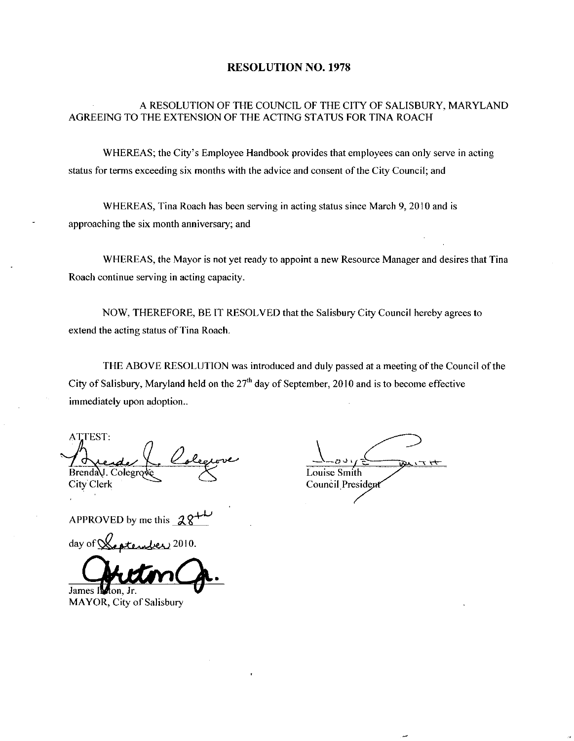#### RESOLUTION NO. 1978

### A RESOLUTION OF THE COUNCIL OF THE CITYOF SALISBURY MARYLAND AGREEING TO THE EXTENSION OF THE ACTING STATUS FOR TINA ROACH

WHEREAS; the City's Employee Handbook provides that employees can only serve in acting status for terms exceeding six months with the advice and consent of the City Council; and

WHEREAS, Tina Roach has been serving in acting status since March 9, 2010 and is approaching the six month anniversary; and

WHEREAS, the Mayor is not yet ready to appoint a new Resource Manager and desires that Tina Roach continue serving in acting capacity

NOW, THEREFORE, BE IT RESOLVED that the Salisbury City Council hereby agrees to extend the acting status of Tina Roach.

THE ABOVE RESOLUTION was introduced and duly passed at a meeting of the Council of the City of Salisbury, Maryland held on the  $27<sup>th</sup>$  day of September, 2010 and is to become effective immediately upon adoption..

ATTEST BrendaU. Colegrod<br>City Clerk

APPROVED by me this

day of

James Indion, Jr.

MAYOR, City of Salisbury

Louise Smith **Council President**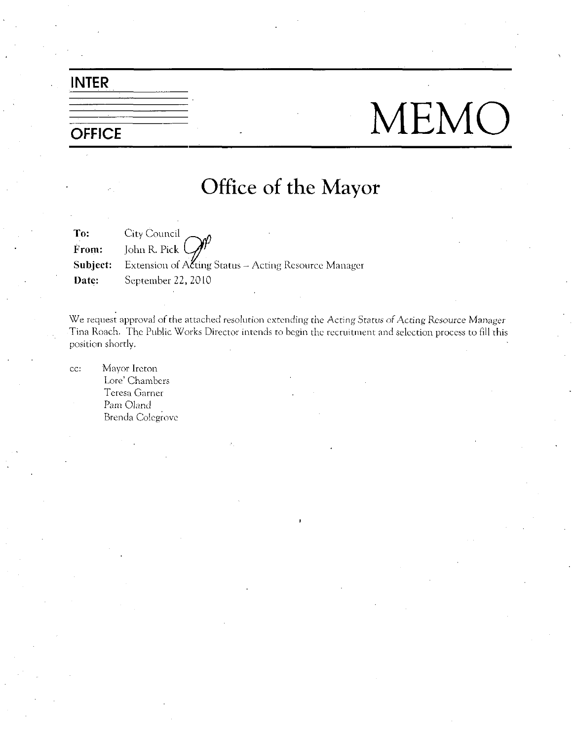## INTER

# $\frac{1}{\text{OFFICE}}$  MEMO

## Office of the Mayor

To:<br>From: City Council John R. Pick **Subject:** Extension of  $A$  Eting Status – Acting Resource Manager Date: September 22, 2010

We request approval of the attached resolution extending the Acting Status of Acting Resource Manager Tina Roach. The Public Works Director intends to begin the recruitment and selection process to fill this position shortly

cc: Mayor Ireton Lore' Chambers Teresa Garner Pam Oland Brenda Colegrovc